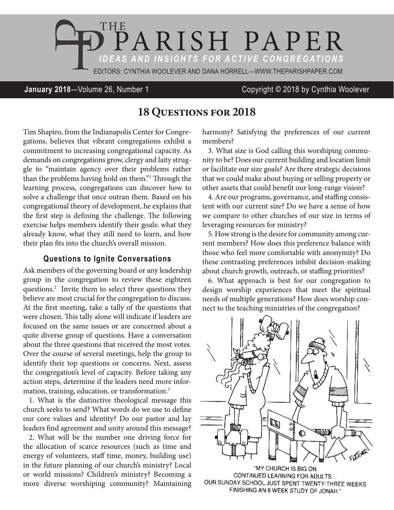

**January 2018**—Volume 26, Number 1 Copyright © 2018 by Cynthia Woolever

## **18 Questions for 2018**

Tim Shapiro, from the Indianapolis Center for Congregations, believes that vibrant congregations exhibit a commitment to increasing congregational capacity. As demands on congregations grow, clergy and laity struggle to "maintain agency over their problems rather than the problems having hold on them."1 Through the learning process, congregations can discover how to solve a challenge that once outran them. Based on his congregational theory of development, he explains that the first step is defining the challenge. The following exercise helps members identify their goals: what they already know, what they still need to learn, and how their plan fits into the church's overall mission.

## **Questions to Ignite Conversations**

Ask members of the governing board or any leadership group in the congregation to review these eighteen questions.<sup>2</sup> Invite them to select three questions they believe are most crucial for the congregation to discuss. At the first meeting, take a tally of the questions that were chosen. This tally alone will indicate if leaders are focused on the same issues or are concerned about a quite diverse group of questions. Have a conversation about the three questions that received the most votes. Over the course of several meetings, help the group to identify their top questions or concerns. Next, assess the congregation's level of capacity. Before taking any action steps, determine if the leaders need more information, training, education, or transformation.3

1. What is the distinctive theological message this church seeks to send? What words do we use to define our core values and identity? Do our pastor and lay leaders find agreement and unity around this message?

2. What will be the number one driving force for the allocation of scarce resources (such as time and energy of volunteers, staff time, money, building use) in the future planning of our church's ministry? Local or world missions? Children's ministry? Becoming a more diverse worshiping community? Maintaining harmony? Satisfying the preferences of our current members?

3. What size is God calling this worshiping community to be? Does our current building and location limit or facilitate our size goals? Are there strategic decisions that we could make about buying or selling property or other assets that could benefit our long-range vision?

4. Are our programs, governance, and staffing consistent with our current size? Do we have a sense of how we compare to other churches of our size in terms of leveraging resources for ministry?

5. How strong is the desire for community among current members? How does this preference balance with those who feel more comfortable with anonymity? Do these contrasting preferences inhibit decision-making about church growth, outreach, or staffing priorities?

6. What approach is best for our congregation to design worship experiences that meet the spiritual needs of multiple generations? How does worship connect to the teaching ministries of the congregation?



"MY CHURCH IS BIG ON CONTINUED LEARNING FOR ADULTS... OUR SUNDAY SCHOOL JUST SPENT TWENTY-THREE WEEKS FINISHING AN 8 WEEK STUDY OF JONAH."